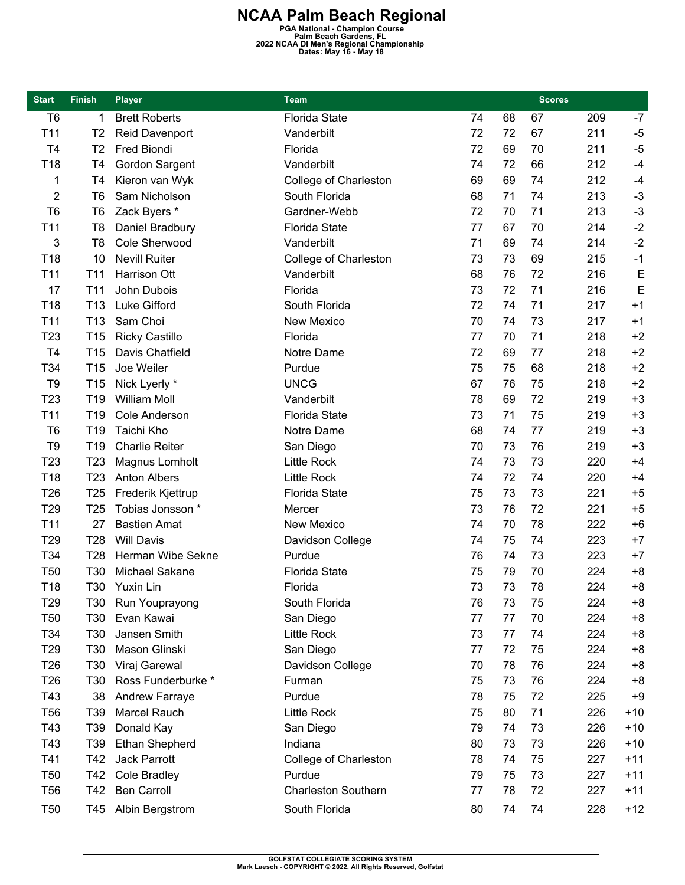**NCAA Palm Beach Regional PGA National - Champion Course Palm Beach Gardens, FL 2022 NCAA DI Men's Regional Championship Dates: May 16 - May 18** 

| <b>Start</b>    | <b>Finish</b>   | <b>Player</b>         | <b>Team</b>                |    |    | <b>Scores</b> |     |             |
|-----------------|-----------------|-----------------------|----------------------------|----|----|---------------|-----|-------------|
| T <sub>6</sub>  | 1               | <b>Brett Roberts</b>  | <b>Florida State</b>       | 74 | 68 | 67            | 209 | $-7$        |
| T11             | T <sub>2</sub>  | <b>Reid Davenport</b> | Vanderbilt                 | 72 | 72 | 67            | 211 | $-5$        |
| T <sub>4</sub>  | T <sub>2</sub>  | Fred Biondi           | Florida                    | 72 | 69 | 70            | 211 | $-5$        |
| T <sub>18</sub> | T <sub>4</sub>  | Gordon Sargent        | Vanderbilt                 | 74 | 72 | 66            | 212 | $-4$        |
| 1               | T4              | Kieron van Wyk        | College of Charleston      | 69 | 69 | 74            | 212 | $-4$        |
| 2               | T <sub>6</sub>  | Sam Nicholson         | South Florida              | 68 | 71 | 74            | 213 | $-3$        |
| T <sub>6</sub>  | T <sub>6</sub>  | Zack Byers *          | Gardner-Webb               | 72 | 70 | 71            | 213 | $-3$        |
| T11             | T <sub>8</sub>  | Daniel Bradbury       | <b>Florida State</b>       | 77 | 67 | 70            | 214 | $-2$        |
| 3               | T <sub>8</sub>  | Cole Sherwood         | Vanderbilt                 | 71 | 69 | 74            | 214 | $-2$        |
| T <sub>18</sub> | 10              | <b>Nevill Ruiter</b>  | College of Charleston      | 73 | 73 | 69            | 215 | $-1$        |
| T11             | T <sub>11</sub> | Harrison Ott          | Vanderbilt                 | 68 | 76 | 72            | 216 | E           |
| 17              | T <sub>11</sub> | John Dubois           | Florida                    | 73 | 72 | 71            | 216 | $\mathsf E$ |
| T <sub>18</sub> | T <sub>13</sub> | Luke Gifford          | South Florida              | 72 | 74 | 71            | 217 | $+1$        |
| T11             | T <sub>13</sub> | Sam Choi              | <b>New Mexico</b>          | 70 | 74 | 73            | 217 | $+1$        |
| T <sub>23</sub> | T <sub>15</sub> | <b>Ricky Castillo</b> | Florida                    | 77 | 70 | 71            | 218 | $+2$        |
| T <sub>4</sub>  | T <sub>15</sub> | Davis Chatfield       | Notre Dame                 | 72 | 69 | 77            | 218 | $+2$        |
| T34             | T <sub>15</sub> | Joe Weiler            | Purdue                     | 75 | 75 | 68            | 218 | $+2$        |
| T <sub>9</sub>  | T <sub>15</sub> | Nick Lyerly *         | <b>UNCG</b>                | 67 | 76 | 75            | 218 | $+2$        |
| T <sub>23</sub> | T <sub>19</sub> | <b>William Moll</b>   | Vanderbilt                 | 78 | 69 | 72            | 219 | $+3$        |
| T <sub>11</sub> | T19             | <b>Cole Anderson</b>  | <b>Florida State</b>       | 73 | 71 | 75            | 219 | $+3$        |
| T <sub>6</sub>  | T <sub>19</sub> | Taichi Kho            | Notre Dame                 | 68 | 74 | 77            | 219 | $+3$        |
| T <sub>9</sub>  | T <sub>19</sub> | <b>Charlie Reiter</b> | San Diego                  | 70 | 73 | 76            | 219 | $+3$        |
| T <sub>23</sub> | T <sub>23</sub> | Magnus Lomholt        | <b>Little Rock</b>         | 74 | 73 | 73            | 220 | $+4$        |
| T <sub>18</sub> | T <sub>23</sub> | <b>Anton Albers</b>   | <b>Little Rock</b>         | 74 | 72 | 74            | 220 | $+4$        |
| T <sub>26</sub> | T <sub>25</sub> | Frederik Kjettrup     | <b>Florida State</b>       | 75 | 73 | 73            | 221 | $+5$        |
| T <sub>29</sub> | T <sub>25</sub> | Tobias Jonsson *      | Mercer                     | 73 | 76 | 72            | 221 | $+5$        |
| T <sub>11</sub> | 27              | <b>Bastien Amat</b>   | <b>New Mexico</b>          | 74 | 70 | 78            | 222 | $+6$        |
| T <sub>29</sub> | T <sub>28</sub> | <b>Will Davis</b>     | Davidson College           | 74 | 75 | 74            | 223 | $+7$        |
| T34             | T <sub>28</sub> | Herman Wibe Sekne     | Purdue                     | 76 | 74 | 73            | 223 | $+7$        |
| <b>T50</b>      | T30             | Michael Sakane        | <b>Florida State</b>       | 75 | 79 | 70            | 224 | $+8$        |
| T18             |                 | T30 Yuxin Lin         | Florida                    | 73 | 73 | 78            | 224 | $+8$        |
| T <sub>29</sub> | T30             | Run Youprayong        | South Florida              | 76 | 73 | 75            | 224 | +8          |
| T <sub>50</sub> | T30             | Evan Kawai            | San Diego                  | 77 | 77 | 70            | 224 | $+8$        |
| T34             | T30             | Jansen Smith          | <b>Little Rock</b>         | 73 | 77 | 74            | 224 | $+8$        |
| T <sub>29</sub> | T30             | Mason Glinski         | San Diego                  | 77 | 72 | 75            | 224 | $+8$        |
| T <sub>26</sub> | T30             | Viraj Garewal         | Davidson College           | 70 | 78 | 76            | 224 | $+8$        |
| T <sub>26</sub> | T30             | Ross Funderburke *    | Furman                     | 75 | 73 | 76            | 224 | $+8$        |
| T43             | 38              | Andrew Farraye        | Purdue                     | 78 | 75 | 72            | 225 | $+9$        |
| <b>T56</b>      | T39             | Marcel Rauch          | <b>Little Rock</b>         | 75 | 80 | 71            | 226 | $+10$       |
| T43             | T39             | Donald Kay            | San Diego                  | 79 | 74 | 73            | 226 | $+10$       |
| T43             | T <sub>39</sub> | <b>Ethan Shepherd</b> | Indiana                    | 80 | 73 | 73            | 226 | $+10$       |
| T41             | T42             | Jack Parrott          | College of Charleston      | 78 | 74 | 75            | 227 | $+11$       |
| T <sub>50</sub> | T42             | <b>Cole Bradley</b>   | Purdue                     | 79 | 75 | 73            | 227 | $+11$       |
| <b>T56</b>      | T42             | Ben Carroll           | <b>Charleston Southern</b> | 77 | 78 | 72            | 227 | $+11$       |
| T <sub>50</sub> |                 | T45 Albin Bergstrom   | South Florida              | 80 | 74 | 74            | 228 | $+12$       |